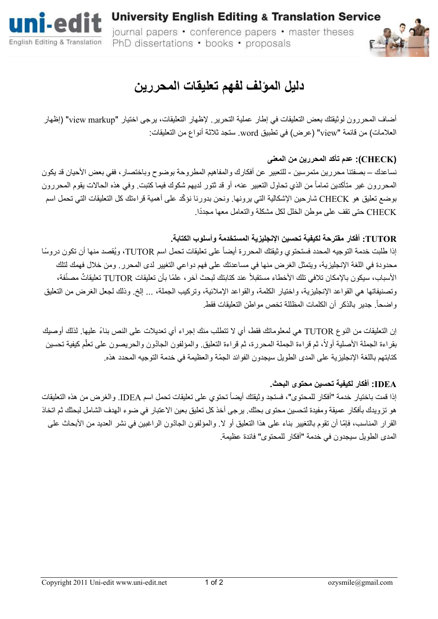

**University English Editing & Translation Service** journal papers • conference papers • master theses PhD dissertations • books • proposals



# **دليل المؤلف لفھم تعليقات المحررين**

أضاف المحررون لوثيقتك بعض التعليقات في إطار عملية التحرير ". ظھار التعليقات، يرجى اختيار "markup view " ) إظھار العلامات) من قائمة "view" (عرض) في تطبيق word. ستجد ثلاثة أنواع من التعليقات:

### **(CHECK(: عدم تأكد المحررين من المعنى**

نساعدك – بصفتنا محررين متمرسين - للتعبير عن أفكارك والمفاهيم المطروحة بوضوح وباختصار ، ففي بعض الأحيان قد يكون المحررون غير متأكدين تماماً من الذي تحاول التعبير عنه، أو قد ثتور لديهم شكوك فيما كتبت. وفي هذه الحالات يقوم المحررون بوضع تعليق هو CHECK شارحين الإشكالية التي برونها. ونحن بدورنا نؤكّد علي أهمية قراءتك كل التعليقات التي تحمل اسم CHECK حتى تقف على موطن الخلل لكل مشكلة و ً التعامل معھا مجددا .

### **TUTOR: أفكار مقترحة لكيفية تحسين ا"نجليزية المستخدمة وأسلوب الكتابة .**

إذا طلبت خدمة التوجيه المحدد فستحتوي وثيقتك المحررة أيضاً على تعليقات تحمل اسم TUTOR، ويُقصد منها أن تكون دروسًا محدودة في اللغة الإنجليزية، ويتمثل الغرض منها في مساعدتك على فهم دواعي التغيير لدى المحرر . ومن خلال فهمك لتلك الأسباب، سيكون بالإمكان تلافي تلك الأخطاء مستقبلاً عند كتابتك لبحث آخر ، علمًا بأن تعليقات TUTOR تعليقاتٌ مصنّفة، وتصنيفاتها هي القواعد الإنجليزية، واختيار الكلمة، والقواعد الإملائية، وتركيب الجملة، ... إلخ وذلك لجعل الغرض من التعليق واضحا. جدير بالذكر أن الكلمات المظللة تخص مواطن التعليقات فقط . ً

إن التعليقات من النوع TUTOR هي لمعلوماتك فقط، أي لا تتطلب منك إجراء أي تعديلات على النص بناءً عليها. لذلك أوصيك بقراءة الجملة الأصلية أولاً، ثم قراءة الجملة المحررة، ثم قراءة التعليق والمؤلفون الجادّون والحريصون على تعلّم كيفية تحسين كتابتهم باللغة الإنجليزية على المدى الطويل سيجدون الفوائد الجمّة والعظيمة في خدمة التوجيه المحدد هذه

#### **IDEA: أفكار لكيفية تحسين محتوى البحث .**

إذا قمت باختيار خدمة "أفكار للمحتوى"، فستجد وثيقتك أيضاً تحتوي على تعليقات تحمل اسم IDEA. والغرض من هذه التعليقات ھو تزويدك بأفكار عميقة ومفيدة لتحسين محتوى بحثك. يرجى أخذ كل تعليق بعين اFعتبار في ضوء الھدف الشامل لبحثك ثم اتخاذ القرار المناسب، فإمّا أن تقوم بالتغيير بناء على هذا التعليق أو لا. والمؤلفون الجادّون الراغبين في نشر العديد من الأبحاث على المدى الطويل سيجدون في خدمة "أفكار للمحتوى" فائدة عظيمة .